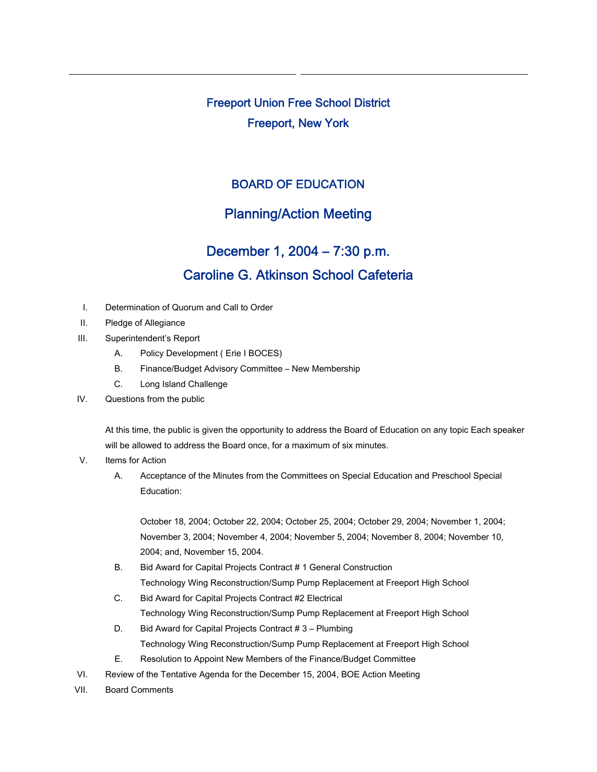Freeport Union Free School District Freeport, New York

### BOARD OF EDUCATION

## Planning/Action Meeting

# December 1, 2004 – 7:30 p.m. Caroline G. Atkinson School Cafeteria

- I. Determination of Quorum and Call to Order
- II. Pledge of Allegiance
- III. Superintendent's Report
	- A. Policy Development ( Erie I BOCES)
	- B. Finance/Budget Advisory Committee New Membership
	- C. Long Island Challenge
- IV. Questions from the public

At this time, the public is given the opportunity to address the Board of Education on any topic Each speaker will be allowed to address the Board once, for a maximum of six minutes.

- V. Items for Action
	- A. Acceptance of the Minutes from the Committees on Special Education and Preschool Special Education:

October 18, 2004; October 22, 2004; October 25, 2004; October 29, 2004; November 1, 2004; November 3, 2004; November 4, 2004; November 5, 2004; November 8, 2004; November 10, 2004; and, November 15, 2004.

- B. Bid Award for Capital Projects Contract # 1 General Construction Technology Wing Reconstruction/Sump Pump Replacement at Freeport High School
- C. Bid Award for Capital Projects Contract #2 Electrical Technology Wing Reconstruction/Sump Pump Replacement at Freeport High School
- D. Bid Award for Capital Projects Contract # 3 Plumbing Technology Wing Reconstruction/Sump Pump Replacement at Freeport High School
- E. Resolution to Appoint New Members of the Finance/Budget Committee
- VI. Review of the Tentative Agenda for the December 15, 2004, BOE Action Meeting
- VII. Board Comments